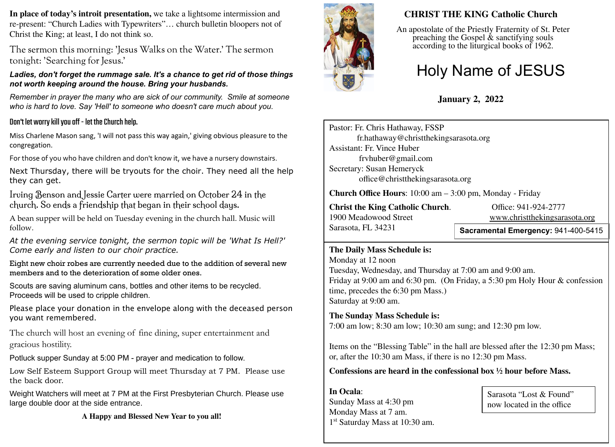**In place of today's introit presentation,** we take a lightsome intermission and re-present: "Church Ladies with Typewriters"… church bulletin bloopers not of Christ the King; at least, I do not think so.

The sermon this morning: 'Jesus Walks on the Water.' The sermon tonight: 'Searching for Jesus.'

#### *Ladies, don't forget the rummage sale. It's a chance to get rid of those things not worth keeping around the house. Bring your husbands.*

*Remember in prayer the many who are sick of our community. Smile at someone who is hard to love. Say 'Hell' to someone who doesn't care much about you.*

### Don't let worry kill you off - let the Church help.

Miss Charlene Mason sang, 'I will not pass this way again,' giving obvious pleasure to the congregation.

For those of you who have children and don't know it, we have a nursery downstairs.

Next Thursday, there will be tryouts for the choir. They need all the help they can get.

Irving Benson and Jessie Carter were married on October 24 in the church. So ends a friendship that began in their school days.

A bean supper will be held on Tuesday evening in the church hall. Music will follow.

*At the evening service tonight, the sermon topic will be 'What Is Hell?' Come early and listen to our choir practice.*

Eight new choir robes are currently needed due to the addition of several new members and to the deterioration of some older ones.

Scouts are saving aluminum cans, bottles and other items to be recycled. Proceeds will be used to cripple children.

Please place your donation in the envelope along with the deceased person you want remembered.

The church will host an evening of fine dining, super entertainment and gracious hostility.

Potluck supper Sunday at 5:00 PM - prayer and medication to follow.

Low Self Esteem Support Group will meet Thursday at 7 PM. Please use the back door.

Weight Watchers will meet at 7 PM at the First Presbyterian Church. Please use large double door at the side entrance.

**A Happy and Blessed New Year to you all!**



## **CHRIST THE KING Catholic Church**

An apostolate of the Priestly Fraternity of St. Peter preaching the Gospel  $\&$  sanctifying souls according to the liturgical books of 1962.

# Holy Name of JESUS

# **January 2, 2022**

Pastor: Fr. Chris Hathaway, FSSP fr.hathaway@christthekingsarasota.org Assistant: Fr. Vince Huber frvhuber@gmail.com Secretary: Susan Hemeryck office@christthekingsarasota.org

**Church Office Hours**: 10:00 am – 3:00 pm, Monday - Friday

**Christ the King Catholic Church.** Office: 941-924-2777 1900 Meadowood Street www.christthekingsarasota.org Sarasota, FL 34231

**Sacramental Emergency:** 941-400-5415

#### **The Daily Mass Schedule is:**

Monday at 12 noon Tuesday, Wednesday, and Thursday at 7:00 am and 9:00 am. Friday at 9:00 am and 6:30 pm. (On Friday, a 5:30 pm Holy Hour & confession time, precedes the 6:30 pm Mass.) Saturday at 9:00 am.

#### **The Sunday Mass Schedule is:** 7:00 am low; 8:30 am low; 10:30 am sung; and 12:30 pm low.

Items on the "Blessing Table" in the hall are blessed after the 12:30 pm Mass; or, after the 10:30 am Mass, if there is no 12:30 pm Mass.

### **Confessions are heard in the confessional box ½ hour before Mass.**

**In Ocala**: Sunday Mass at 4:30 pm Monday Mass at 7 am. 1 st Saturday Mass at 10:30 am.

Sarasota "Lost & Found" now located in the office